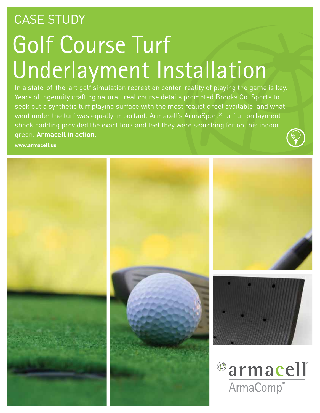## CASE STUDY

# Golf Course Turf Underlayment Installation

In a state-of-the-art golf simulation recreation center, reality of playing the game is key. Years of ingenuity crafting natural, real course details prompted Brooks Co. Sports to seek out a synthetic turf playing surface with the most realistic feel available, and what went under the turf was equally important. Armacell's ArmaSport® turf underlayment shock padding provided the exact look and feel they were searching for on this indoor green. **Armacell in action.**

**www.armacell.us**

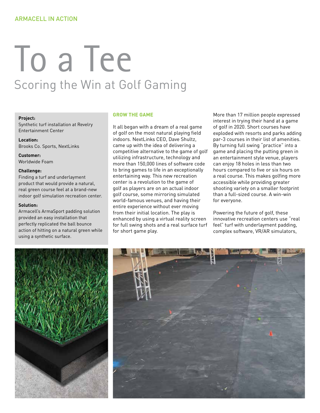# To a Tee Scoring the Win at Golf Gaming

#### **Project:**

Synthetic turf installation at Revelry Entertainment Center

**Location:** Brooks Co. Sports, NextLinks

**Customer:** Worldwide Foam

#### **Challenge:**

Finding a turf and underlayment product that would provide a natural, real green course feel at a brand-new indoor golf simulation recreation center.

#### **Solution:**

Armacell's ArmaSport padding solution provided an easy installation that perfectly replicated the ball bounce action of hitting on a natural green while using a synthetic surface.

#### **GROW THE GAME**

It all began with a dream of a real game of golf on the most natural playing field indoors. NextLinks CEO, Dave Shultz, came up with the idea of delivering a competitive alternative to the game of golf utilizing infrastructure, technology and more than 150,000 lines of software code to bring games to life in an exceptionally entertaining way. This new recreation center is a revolution to the game of golf as players are on an actual indoor golf course, some mirroring simulated world-famous venues, and having their entire experience without ever moving from their initial location. The play is enhanced by using a virtual reality screen for full swing shots and a real surface turf for short game play.

More than 17 million people expressed interest in trying their hand at a game of golf in 2020. Short courses have exploded with resorts and parks adding par-3 courses in their list of amenities. By turning full swing "practice" into a game and placing the putting green in an entertainment style venue, players can enjoy 18 holes in less than two hours compared to five or six hours on a real course. This makes golfing more accessible while providing greater shooting variety on a smaller footprint than a full-sized course. A win-win for everyone.

Powering the future of golf, these innovative recreation centers use "real feel" turf with underlayment padding, complex software, VR/AR simulators,

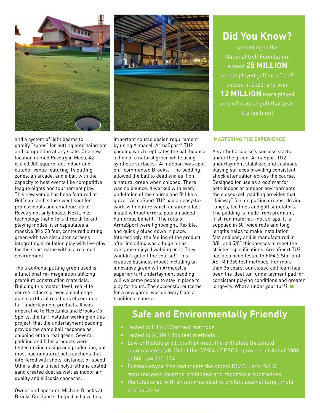

and a system of light beams to gamify "zones" for putting entertainment and competition at any scale. One new location named Revelry in Mesa, AZ is a 60,000 square foot indoor and outdoor venue featuring 14 putting zones, an arcade, and a bar, with the capacity to host events like competitive league nights and tournament play. This new venue has been featured at Golf.com and is the sweet spot for professionals and amateurs alike. Revelry not only boasts NextLinks technology that offers three different playing modes, it encapsulates a massive 80 x 20 feet, contoured putting green with two simulator screens integrating simulation play with live play for the short game within a real golf environment.

The traditional putting green used is a functional re-imagination utilizing premium construction materials. Building this master level, real-life course indoors proved a challenge due to artificial reactions of common turf underlayment products. It was imperative to NextLinks and Brooks Co. Sports, the turf installer working on this project, that the underlayment padding provide the same ball response as chipping onto a real green. Several padding and filler products were tested during design and production, but most had unnatural ball reactions that interfered with shots, distance, or speed. Others like artificial polyurethane coated sand created dust as well as indoor air quality and silicosis concerns.

Owner and operator, Michael Brooks at Brooks Co. Sports, helped achieve this



important course design requirement by using Armacell ArmaSport® TU2 padding which replicates the ball bounce action of a natural green while using synthetic surfaces. "ArmaSport was spot on," commented Brooks. "The padding allowed the ball to dead end as if on a natural green when chipped. There was no bounce. It worked with every undulation of the course and fit like a glove." ArmaSport TU2 had an easy-towork-with nature which ensured a fast install without errors, plus an added humorous benefit. "The rolls of ArmaSport were lightweight, flexible, and quickly glued down in place. Interestingly, the feeling of the product after installing was a huge hit as everyone enjoyed walking on it. They wouldn't get off the course!" This creative business model including an innovative green with Armacell's superior turf underlayment padding will welcome people to stay in place to play for hours. The successful outcome for a new game, worlds away from a traditional course.

### **Did You Know?**  According to the National Golf Foundation, almost **25 MILLION**  people played golf on a "real" course in 2020, and over **12 MILLION** more played only off-course golf that year. It's tee time!

#### **MASTERING THE EXPERIENCE**

A synthetic course's success starts under the green. ArmaSport TU2 underlayment stabilizes and cushions playing surfaces providing consistent shock attenuation across the course. Designed for use as a golf mat for both indoor or outdoor environments, the closed-cell padding provides that "fairway" feel on putting greens, driving ranges, tee lines and golf simulators. The padding is made from premium, first-run material—not scraps. It is supplied in 60" wide rolls and long lengths helps to make installation fast and easy and is manufactured in 3/8" and 5/8" thicknesses to meet the strictest specifications. ArmaSport TU2 has also been tested to FIFA 2 Star and ASTM F355 test methods. For more than 35 years, our closed cell foam has been the ideal turf underlayment pad for consistent playing conditions and greater longevity. What's under your turf?

### **Safe and Environmentally Friendly**

- Tested to FIFA 2 Star test methods
- Tested to ASTM F355 test methods
- Low phthalate products that meet the phthalate threshold requirements (<0.1%) of the CPSIA / CPSC Improvement Act of 2008 public law 110-114
- Formaldehyde free and meets the global REACH and RoHS requirements covering prohibited and reportable substances
- Manufactured with an antimicrobial to protect against fungi, mold and bacteria